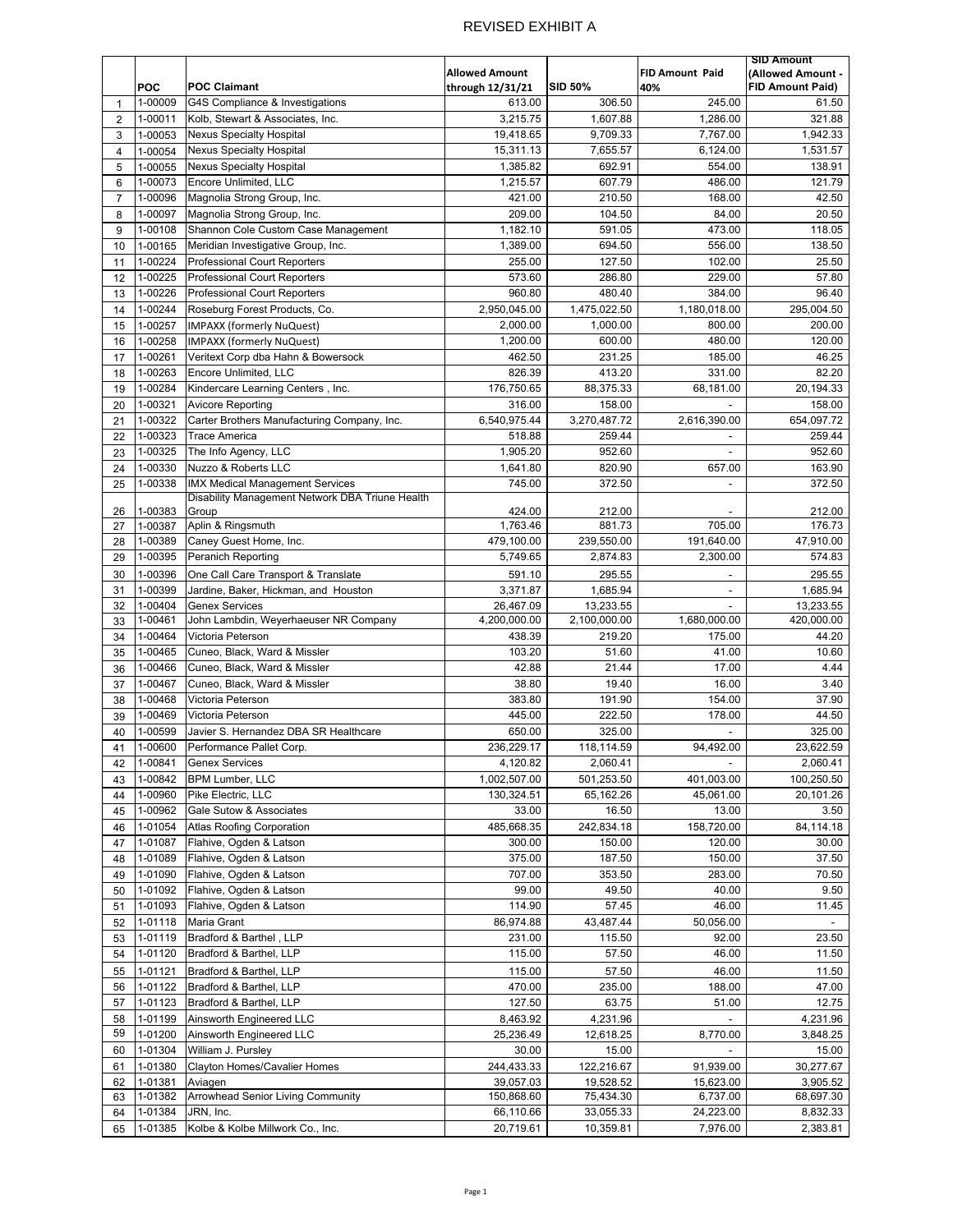## REVISED EXHIBIT A

|                         |            |                                                 |                       |                |                          | <b>SID Amount</b>       |
|-------------------------|------------|-------------------------------------------------|-----------------------|----------------|--------------------------|-------------------------|
|                         |            |                                                 | <b>Allowed Amount</b> |                | <b>FID Amount Paid</b>   | (Allowed Amount -       |
|                         | <b>POC</b> | <b>POC Claimant</b>                             | through 12/31/21      | <b>SID 50%</b> | 40%                      | <b>FID Amount Paid)</b> |
| 1                       | 1-00009    | G4S Compliance & Investigations                 | 613.00                | 306.50         | 245.00                   | 61.50                   |
| $\overline{2}$          | 1-00011    | Kolb, Stewart & Associates, Inc.                | 3,215.75              | 1,607.88       | 1,286.00                 | 321.88                  |
| 3                       | 1-00053    | <b>Nexus Specialty Hospital</b>                 | 19,418.65             | 9,709.33       | 7,767.00                 | 1,942.33                |
| $\overline{\mathbf{4}}$ |            | <b>Nexus Specialty Hospital</b>                 | 15,311.13             | 7,655.57       | 6,124.00                 | 1,531.57                |
|                         | 1-00054    |                                                 |                       |                |                          |                         |
| 5                       | 1-00055    | <b>Nexus Specialty Hospital</b>                 | 1,385.82              | 692.91         | 554.00                   | 138.91                  |
| 6                       | 1-00073    | Encore Unlimited, LLC                           | 1,215.57              | 607.79         | 486.00                   | 121.79                  |
| $\overline{7}$          | 1-00096    | Magnolia Strong Group, Inc.                     | 421.00                | 210.50         | 168.00                   | 42.50                   |
| 8                       | 1-00097    | Magnolia Strong Group, Inc.                     | 209.00                | 104.50         | 84.00                    | 20.50                   |
| 9                       | 1-00108    | Shannon Cole Custom Case Management             | 1,182.10              | 591.05         | 473.00                   | 118.05                  |
| 10                      | 1-00165    | Meridian Investigative Group, Inc.              | 1,389.00              | 694.50         | 556.00                   | 138.50                  |
| 11                      | 1-00224    | <b>Professional Court Reporters</b>             | 255.00                | 127.50         | 102.00                   | 25.50                   |
| 12                      | 1-00225    | <b>Professional Court Reporters</b>             | 573.60                | 286.80         | 229.00                   | 57.80                   |
| 13                      | 1-00226    | <b>Professional Court Reporters</b>             | 960.80                | 480.40         | 384.00                   | 96.40                   |
|                         |            |                                                 |                       | 1,475,022.50   |                          |                         |
| 14                      | 1-00244    | Roseburg Forest Products, Co.                   | 2,950,045.00          |                | 1,180,018.00             | 295,004.50              |
| 15                      | 1-00257    | <b>IMPAXX (formerly NuQuest)</b>                | 2,000.00              | 1,000.00       | 800.00                   | 200.00                  |
| 16                      | 1-00258    | <b>IMPAXX (formerly NuQuest)</b>                | 1,200.00              | 600.00         | 480.00                   | 120.00                  |
| 17                      | 1-00261    | Veritext Corp dba Hahn & Bowersock              | 462.50                | 231.25         | 185.00                   | 46.25                   |
| 18                      | 1-00263    | Encore Unlimited, LLC                           | 826.39                | 413.20         | 331.00                   | 82.20                   |
| 19                      | 1-00284    | Kindercare Learning Centers, Inc.               | 176,750.65            | 88,375.33      | 68,181.00                | 20,194.33               |
| 20                      | 1-00321    | <b>Avicore Reporting</b>                        | 316.00                | 158.00         |                          | 158.00                  |
| 21                      | 1-00322    | Carter Brothers Manufacturing Company, Inc.     | 6,540,975.44          | 3,270,487.72   | 2,616,390.00             | 654,097.72              |
| 22                      | 1-00323    | <b>Trace America</b>                            | 518.88                | 259.44         |                          | 259.44                  |
|                         |            |                                                 |                       |                |                          |                         |
| 23                      | 1-00325    | The Info Agency, LLC                            | 1,905.20              | 952.60         |                          | 952.60                  |
| 24                      | 1-00330    | Nuzzo & Roberts LLC                             | 1,641.80              | 820.90         | 657.00                   | 163.90                  |
| 25                      | 1-00338    | <b>IMX Medical Management Services</b>          | 745.00                | 372.50         | $\overline{\phantom{a}}$ | 372.50                  |
|                         |            | Disability Management Network DBA Triune Health |                       |                |                          |                         |
| 26                      | 1-00383    | Group                                           | 424.00                | 212.00         |                          | 212.00                  |
| 27                      | 1-00387    | Aplin & Ringsmuth                               | 1,763.46              | 881.73         | 705.00                   | 176.73                  |
| 28                      | 1-00389    | Caney Guest Home, Inc.                          | 479,100.00            | 239,550.00     | 191,640.00               | 47,910.00               |
| 29                      | 1-00395    | Peranich Reporting                              | 5,749.65              | 2,874.83       | 2,300.00                 | 574.83                  |
| 30                      | 1-00396    | One Call Care Transport & Translate             | 591.10                | 295.55         |                          | 295.55                  |
| 31                      | 1-00399    | Jardine, Baker, Hickman, and Houston            | 3,371.87              | 1,685.94       |                          | 1,685.94                |
| 32                      | 1-00404    | <b>Genex Services</b>                           | 26,467.09             | 13,233.55      | $\overline{a}$           | 13,233.55               |
| 33                      | 1-00461    | John Lambdin, Weyerhaeuser NR Company           | 4,200,000.00          | 2,100,000.00   | 1,680,000.00             | 420,000.00              |
| 34                      | 1-00464    | Victoria Peterson                               | 438.39                | 219.20         | 175.00                   | 44.20                   |
| 35                      | 1-00465    | Cuneo, Black, Ward & Missler                    | 103.20                | 51.60          | 41.00                    | 10.60                   |
|                         |            |                                                 |                       |                |                          |                         |
| 36                      | 1-00466    | Cuneo, Black, Ward & Missler                    | 42.88                 | 21.44          | 17.00                    | 4.44                    |
| 37                      | 1-00467    | Cuneo, Black, Ward & Missler                    | 38.80                 | 19.40          | 16.00                    | 3.40                    |
| 38                      | 1-00468    | Victoria Peterson                               | 383.80                | 191.90         | 154.00                   | 37.90                   |
| 39                      | 1-00469    | Victoria Peterson                               | 445.00                | 222.50         | 178.00                   | 44.50                   |
| 40                      | 1-00599    | Javier S. Hernandez DBA SR Healthcare           | 650.00                | 325.00         | $\overline{\phantom{a}}$ | 325.00                  |
| 41                      |            | 1-00600 Performance Pallet Corp.                | 236,229.17            | 118,114.59     | 94,492.00                | 23,622.59               |
| 42                      | 1-00841    | <b>Genex Services</b>                           | 4,120.82              | 2,060.41       |                          | 2,060.41                |
| 43                      | 1-00842    | <b>BPM Lumber, LLC</b>                          | 1,002,507.00          | 501,253.50     | 401,003.00               | 100,250.50              |
|                         | 1-00960    | Pike Electric, LLC                              | 130,324.51            | 65,162.26      | 45,061.00                | 20,101.26               |
| 44                      | 1-00962    | Gale Sutow & Associates                         | 33.00                 | 16.50          | 13.00                    | 3.50                    |
| 45                      |            |                                                 |                       |                |                          |                         |
| 46                      | 1-01054    | <b>Atlas Roofing Corporation</b>                | 485,668.35            | 242,834.18     | 158,720.00               | 84,114.18               |
| 47                      | 1-01087    | Flahive, Ogden & Latson                         | 300.00                | 150.00         | 120.00                   | 30.00                   |
| 48                      | 1-01089    | Flahive, Ogden & Latson                         | 375.00                | 187.50         | 150.00                   | 37.50                   |
| 49                      | 1-01090    | Flahive, Ogden & Latson                         | 707.00                | 353.50         | 283.00                   | 70.50                   |
| 50                      | 1-01092    | Flahive, Ogden & Latson                         | 99.00                 | 49.50          | 40.00                    | 9.50                    |
| 51                      | 1-01093    | Flahive, Ogden & Latson                         | 114.90                | 57.45          | 46.00                    | 11.45                   |
| 52                      | 1-01118    | Maria Grant                                     | 86,974.88             | 43,487.44      | 50,056.00                |                         |
| 53                      | 1-01119    | Bradford & Barthel, LLP                         | 231.00                | 115.50         | 92.00                    | 23.50                   |
| 54                      | 1-01120    | Bradford & Barthel, LLP                         | 115.00                | 57.50          | 46.00                    | 11.50                   |
|                         |            |                                                 |                       |                |                          |                         |
| 55                      | 1-01121    | Bradford & Barthel, LLP                         | 115.00                | 57.50          | 46.00                    | 11.50                   |
| 56                      | 1-01122    | Bradford & Barthel, LLP                         | 470.00                | 235.00         | 188.00                   | 47.00                   |
| 57                      | 1-01123    | Bradford & Barthel, LLP                         | 127.50                | 63.75          | 51.00                    | 12.75                   |
| 58                      | 1-01199    | Ainsworth Engineered LLC                        | 8,463.92              | 4,231.96       |                          | 4,231.96                |
| 59                      | 1-01200    | Ainsworth Engineered LLC                        | 25,236.49             | 12,618.25      | 8,770.00                 | 3,848.25                |
| 60                      | 1-01304    | William J. Pursley                              | 30.00                 | 15.00          |                          | 15.00                   |
| 61                      | 1-01380    | Clayton Homes/Cavalier Homes                    | 244,433.33            | 122,216.67     | 91,939.00                | 30,277.67               |
| 62                      | 1-01381    | Aviagen                                         | 39,057.03             | 19,528.52      | 15,623.00                | 3,905.52                |
| 63                      | 1-01382    | <b>Arrowhead Senior Living Community</b>        | 150,868.60            | 75,434.30      | 6,737.00                 | 68,697.30               |
| 64                      | 1-01384    | JRN, Inc.                                       | 66,110.66             | 33,055.33      | 24,223.00                | 8,832.33                |
|                         | 1-01385    | Kolbe & Kolbe Millwork Co., Inc.                | 20,719.61             | 10,359.81      | 7,976.00                 | 2,383.81                |
| 65                      |            |                                                 |                       |                |                          |                         |